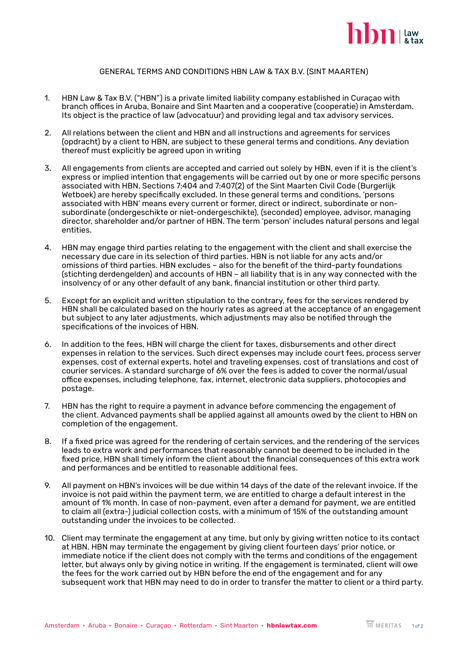

## GENERAL TERMS AND CONDITIONS HBN LAW & TAX B.V. (SINT MAARTEN)

- 1. HBN Law & Tax B.V. ("HBN") is a private limited liability company established in Curaçao with branch offices in Aruba, Bonaire and Sint Maarten and a cooperative (cooperatie) in Amsterdam. Its object is the practice of law (advocatuur) and providing legal and tax advisory services.
- 2. All relations between the client and HBN and all instructions and agreements for services (opdracht) by a client to HBN, are subject to these general terms and conditions. Any deviation thereof must explicitly be agreed upon in writing
- 3. All engagements from clients are accepted and carried out solely by HBN, even if it is the client's express or implied intention that engagements will be carried out by one or more specific persons associated with HBN. Sections 7:404 and 7:407(2) of the Sint Maarten Civil Code (Burgerlijk Wetboek) are hereby specifically excluded. In these general terms and conditions, 'persons associated with HBN' means every current or former, direct or indirect, subordinate or non- subordinate (ondergeschikte or niet-ondergeschikte), (seconded) employee, advisor, managing director, shareholder and/or partner of HBN. The term 'person' includes natural persons and legal entities.
- 4. HBN may engage third parties relating to the engagement with the client and shall exercise the necessary due care in its selection of third parties. HBN is not liable for any acts and/or omissions of third parties. HBN excludes – also for the benefit of the third-party foundations (stichting derdengelden) and accounts of HBN – all liability that is in any way connected with the insolvency of or any other default of any bank, financial institution or other third party.
- 5. Except for an explicit and written stipulation to the contrary, fees for the services rendered by HBN shall be calculated based on the hourly rates as agreed at the acceptance of an engagement but subject to any later adjustments, which adjustments may also be notified through the specifications of the invoices of HBN.
- 6. In addition to the fees, HBN will charge the client for taxes, disbursements and other direct expenses in relation to the services. Such direct expenses may include court fees, process server expenses, cost of external experts, hotel and traveling expenses, cost of translations and cost of courier services. A standard surcharge of 6% over the fees is added to cover the normal/usual office expenses, including telephone, fax, internet, electronic data suppliers, photocopies and postage.
- 7. HBN has the right to require a payment in advance before commencing the engagement of the client. Advanced payments shall be applied against all amounts owed by the client to HBN on completion of the engagement.
- 8. If a fixed price was agreed for the rendering of certain services, and the rendering of the services leads to extra work and performances that reasonably cannot be deemed to be included in the fixed price, HBN shall timely inform the client about the financial consequences of this extra work and performances and be entitled to reasonable additional fees.
- 9. All payment on HBN's invoices will be due within 14 days of the date of the relevant invoice. If the invoice is not paid within the payment term, we are entitled to charge a default interest in the amount of 1% month. In case of non-payment, even after a demand for payment, we are entitled to claim all (extra-) judicial collection costs, with a minimum of 15% of the outstanding amount outstanding under the invoices to be collected.
- 10. Client may terminate the engagement at any time, but only by giving written notice to its contact at HBN. HBN may terminate the engagement by giving client fourteen days' prior notice, or immediate notice if the client does not comply with the terms and conditions of the engagement letter, but always only by giving notice in writing. If the engagement is terminated, client will owe the fees for the work carried out by HBN before the end of the engagement and for any subsequent work that HBN may need to do in order to transfer the matter to client or a third party.